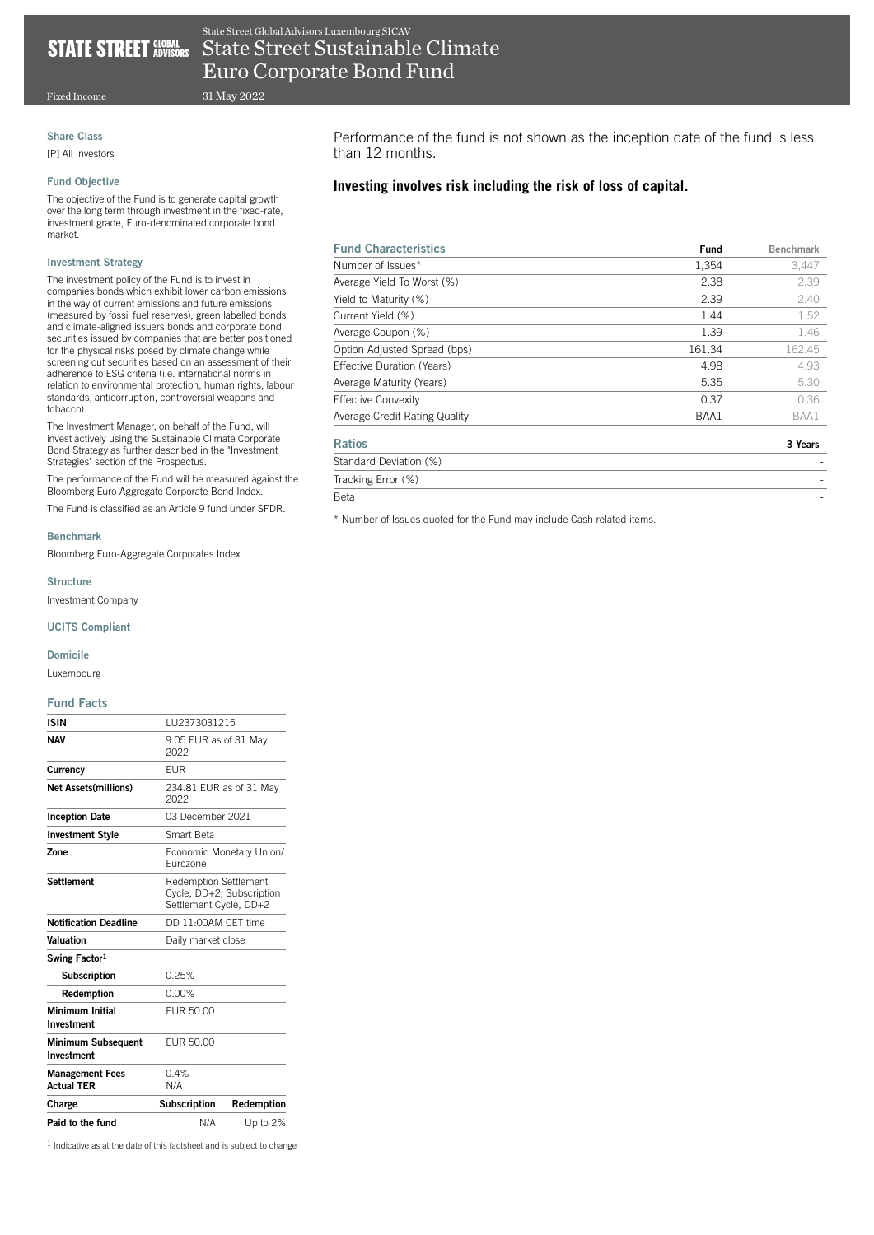## State Street Global Advisors Luxembourg SICAV **STATE STREET GLOBAL** State Street Sustainable Climate

31 May 2022 Euro Corporate Bond Fund

Fixed Income

## Share Class

[P] All Investors

## Fund Objective

The objective of the Fund is to generate capital growth over the long term through investment in the fixed-rate, investment grade, Euro-denominated corporate bond market.

## Investment Strategy

The investment policy of the Fund is to invest in companies bonds which exhibit lower carbon emissions in the way of current emissions and future emissions (measured by fossil fuel reserves), green labelled bonds and climate-aligned issuers bonds and corporate bond securities issued by companies that are better positioned for the physical risks posed by climate change while screening out securities based on an assessment of their adherence to ESG criteria (i.e. international norms in relation to environmental protection, human rights, labour standards, anticorruption, controversial weapons and tobacco).

The Investment Manager, on behalf of the Fund, will invest actively using the Sustainable Climate Corporate Bond Strategy as further described in the "Investment Strategies" section of the Prospectus.

The performance of the Fund will be measured against the Bloomberg Euro Aggregate Corporate Bond Index.

The Fund is classified as an Article 9 fund under SFDR.

## Benchmark

Bloomberg Euro-Aggregate Corporates Index

Structure

Investment Company

## UCITS Compliant

## Domicile

Luxembourg

## Fund Facts

| <b>ISIN</b>                                 | 1 1 1 2 3 7 3 0 3 1 2 1 5                                                           |            |  |
|---------------------------------------------|-------------------------------------------------------------------------------------|------------|--|
| <b>NAV</b>                                  | 9.05 EUR as of 31 May<br>2022                                                       |            |  |
| Currency                                    | <b>FUR</b>                                                                          |            |  |
| <b>Net Assets(millions)</b>                 | 234.81 EUR as of 31 May<br>2022                                                     |            |  |
| <b>Inception Date</b>                       | 03 December 2021                                                                    |            |  |
| <b>Investment Style</b>                     | Smart Beta                                                                          |            |  |
| Zone                                        | Economic Monetary Union/<br>Furozone                                                |            |  |
| <b>Settlement</b>                           | <b>Redemption Settlement</b><br>Cycle, DD+2; Subscription<br>Settlement Cycle, DD+2 |            |  |
| <b>Notification Deadline</b>                | DD 11:00AM CFT time                                                                 |            |  |
| Valuation                                   | Daily market close                                                                  |            |  |
| Swing Factor <sup>1</sup>                   |                                                                                     |            |  |
| <b>Subscription</b>                         | 0.25%                                                                               |            |  |
| Redemption                                  | 0.00%                                                                               |            |  |
| Minimum Initial<br>Investment               | FUR 50.00                                                                           |            |  |
| <b>Minimum Subsequent</b><br>Investment     | FUR 50.00                                                                           |            |  |
| <b>Management Fees</b><br><b>Actual TER</b> | 0.4%<br>N/A                                                                         |            |  |
| Charge                                      | <b>Subscription</b>                                                                 | Redemption |  |
| Paid to the fund                            | N/A                                                                                 | Up to 2%   |  |

1 Indicative as at the date of this factsheet and is subject to change

Performance of the fund is not shown as the inception date of the fund is less than 12 months.

# **Investing involves risk including the risk of loss of capital.**

| <b>Fund Characteristics</b>   | <b>Fund</b> | <b>Benchmark</b> |
|-------------------------------|-------------|------------------|
| Number of Issues*             | 1,354       | 3,447            |
| Average Yield To Worst (%)    | 2.38        | 2.39             |
| Yield to Maturity (%)         | 2.39        | 2.40             |
| Current Yield (%)             | 1.44        | 1.52             |
| Average Coupon (%)            | 1.39        | 1.46             |
| Option Adjusted Spread (bps)  | 161.34      | 162.45           |
| Effective Duration (Years)    | 4.98        | 4.93             |
| Average Maturity (Years)      | 5.35        | 5.30             |
| <b>Effective Convexity</b>    | 0.37        | 0.36             |
| Average Credit Rating Quality | BAA1        | BAA1             |
| <b>Ratios</b>                 |             | 3 Years          |
| Standard Deviation (%)        |             |                  |
| Tracking Error (%)            |             |                  |
| <b>Beta</b>                   |             |                  |

\* Number of Issues quoted for the Fund may include Cash related items.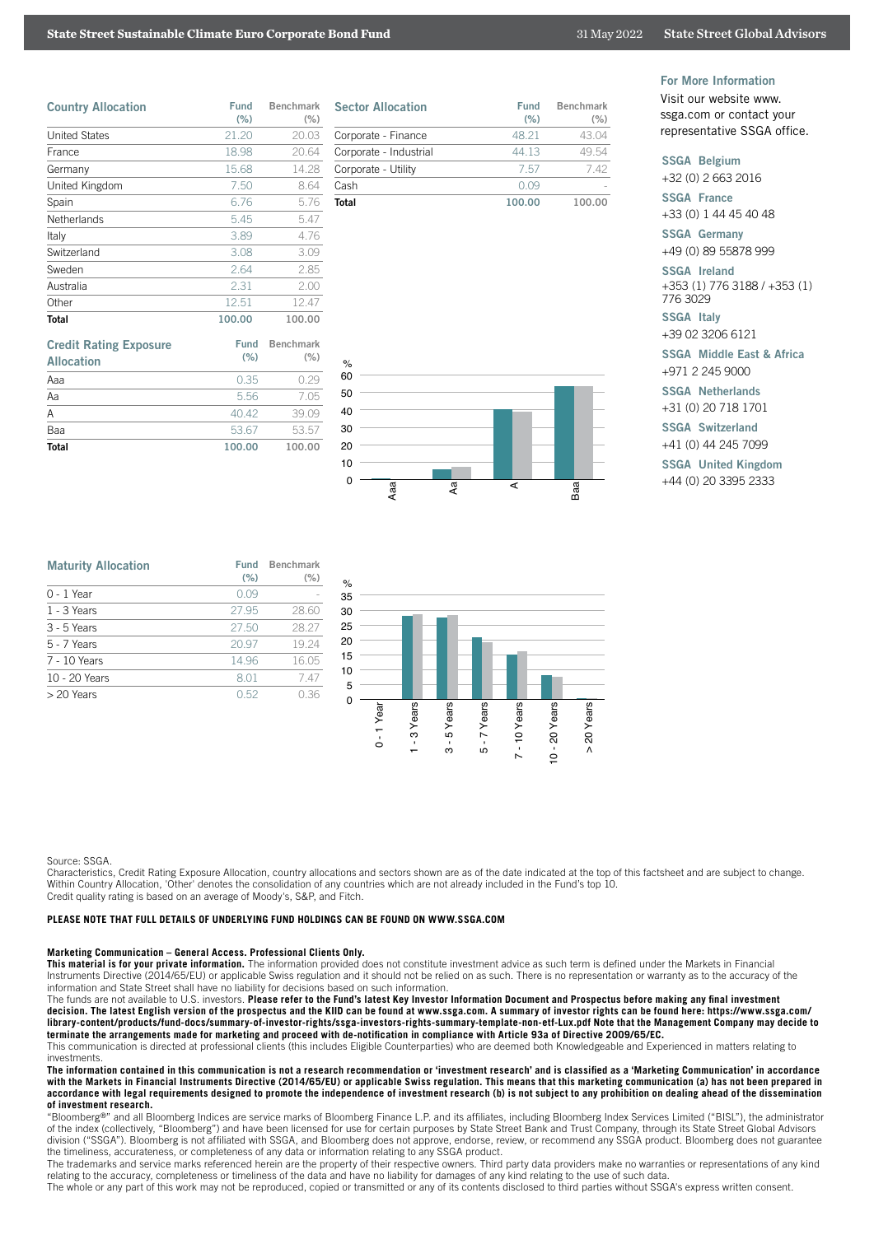## **State Street Sustainable Climate Euro Corporate Bond Fund** 31 May 2022 State Street Global Advisors

| <b>Country Allocation</b> | <b>Fund</b><br>(% ) | Benchmark<br>(% ) |
|---------------------------|---------------------|-------------------|
| <b>United States</b>      | 21.20               | 20.03             |
| France                    | 18.98               | 20.64             |
| Germany                   | 15.68               | 14.28             |
| United Kingdom            | 7.50                | 8.64              |
| Spain                     | 6.76                | 5.76              |
| <b>Netherlands</b>        | 5.45                | 5.47              |
| Italy                     | 3.89                | 4.76              |
| Switzerland               | 3.08                | 3.09              |
| Sweden                    | 2.64                | 2.85              |
| Australia                 | 2.31                | 2.00              |
| Other                     | 12.51               | 12.47             |
| <b>Total</b>              | 100.00              | 100.00            |

| <b>Credit Rating Exposure</b><br><b>Allocation</b> | Fund<br>(% ) | <b>Benchmark</b><br>(% ) |
|----------------------------------------------------|--------------|--------------------------|
| Aaa                                                | 0.35         | 0.29                     |
| Aa                                                 | 5.56         | 7.05                     |
| Α                                                  | 40.42        | 39.09                    |
| Baa                                                | 53.67        | 53.57                    |
| <b>Total</b>                                       | 100.00       | 100.00                   |

| <b>Sector Allocation</b> | Fund<br>(% ) | <b>Benchmark</b><br>(% ) |
|--------------------------|--------------|--------------------------|
| Corporate - Finance      | 48.21        | 43.04                    |
| Corporate - Industrial   | 44 13        | 49.54                    |
| Corporate - Utility      | 757          | 742                      |
| Cash                     | N 09         |                          |
| Total                    | 100.00       |                          |



For More Information

Visit our website www. ssga.com or contact your representative SSGA office.

## SSGA Belgium

+32 (0) 2 663 2016

SSGA France

+33 (0) 1 44 45 40 48

SSGA Germany +49 (0) 89 55878 999

SSGA Ireland +353 (1) 776 3188 / +353 (1)

776 3029 SSGA Italy

+39 02 3206 6121

SSGA Middle East & Africa +971 2 245 9000

## SSGA Netherlands

+31 (0) 20 718 1701

SSGA Switzerland

+41 (0) 44 245 7099

SSGA United Kingdom

+44 (0) 20 3395 2333

| <b>Maturity Allocation</b> | <b>Fund</b><br>(% ) | <b>Benchmark</b><br>(% ) |
|----------------------------|---------------------|--------------------------|
| $0 - 1$ Year               | 0.09                |                          |
| $1 - 3$ Years              | 27.95               | 28.60                    |
| 3 - 5 Years                | 27.50               | 28.27                    |
| 5 - 7 Years                | 20.97               | 19.24                    |
| 7 - 10 Years               | 14.96               | 16.05                    |
| 10 - 20 Years              | 8.01                | 7.47                     |
| $> 20$ Years               | 0.52                | 0.36                     |



#### Source: SSGA.

Characteristics, Credit Rating Exposure Allocation, country allocations and sectors shown are as of the date indicated at the top of this factsheet and are subject to change. Within Country Allocation, 'Other' denotes the consolidation of any countries which are not already included in the Fund's top 10.

Credit quality rating is based on an average of Moody's, S&P, and Fitch.

#### **PLEASE NOTE THAT FULL DETAILS OF UNDERLYING FUND HOLDINGS CAN BE FOUND ON WWW.SSGA.COM**

Marketing Communication – General Access. Professional Clients Only.<br>This material is for your private information. The information provided does not constitute investment advice as such term is defined under the Markets i Instruments Directive (2014/65/EU) or applicable Swiss regulation and it should not be relied on as such. There is no representation or warranty as to the accuracy of the information and State Street shall have no liability for decisions based on such information.

The funds are not available to U.S. investors. Please refer to the Fund's latest Key Investor Information Document and Prospectus before making any final investment **decision. The latest English version of the prospectus and the KIID can be found at www.ssga.com. A summary of investor rights can be found here: https://www.ssga.com/ library-content/products/fund-docs/summary-of-investor-rights/ssga-investors-rights-summary-template-non-etf-Lux.pdf Note that the Management Company may decide to terminate the arrangements made for marketing and proceed with de-notification in compliance with Article 93a of Directive 2009/65/EC.**

This communication is directed at professional clients (this includes Eligible Counterparties) who are deemed both Knowledgeable and Experienced in matters relating to investments.

**The information contained in this communication is not a research recommendation or 'investment research' and is classified as a 'Marketing Communication' in accordance with the Markets in Financial Instruments Directive (2014/65/EU) or applicable Swiss regulation. This means that this marketing communication (a) has not been prepared in accordance with legal requirements designed to promote the independence of investment research (b) is not subject to any prohibition on dealing ahead of the dissemination of investment research.**

"Bloomberg®" and all Bloomberg Indices are service marks of Bloomberg Finance L.P. and its affiliates, including Bloomberg Index Services Limited ("BISL"), the administrator of the index (collectively, "Bloomberg") and have been licensed for use for certain purposes by State Street Bank and Trust Company, through its State Street Global Advisors division ("SSGA"). Bloomberg is not affiliated with SSGA, and Bloomberg does not approve, endorse, review, or recommend any SSGA product. Bloomberg does not guarantee the timeliness, accurateness, or completeness of any data or information relating to any SSGA product.

The trademarks and service marks referenced herein are the property of their respective owners. Third party data providers make no warranties or representations of any kind relating to the accuracy, completeness or timeliness of the data and have no liability for damages of any kind relating to the use of such data.

The whole or any part of this work may not be reproduced, copied or transmitted or any of its contents disclosed to third parties without SSGA's express written consent.